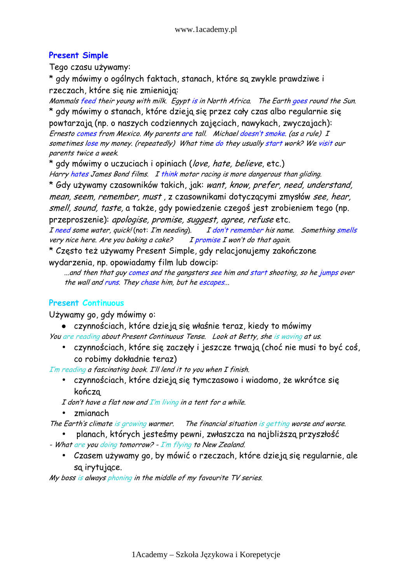# Present Simple

Tego czasu używamy:

\* gdy mówimy o ogólnych faktach, stanach, które są zwykle prawdziwe i rzeczach, które się nie zmieniają:

Mammals feed their young with milk. Egypt is in North Africa. The Earth goes round the Sun. \* gdy mówimy o stanach, które dzieją się przez cały czas albo regularnie się powtarzają (np. o naszych codziennych zajęciach, nawykach, zwyczajach): Ernesto comes from Mexico. My parents are tall. Michael doesn't smoke. (as a rule) I sometimes lose my money. (repeatedly) What time do they usually start work? We visit our

parents twice a week.

\* ady mówimy o uczuciach i opiniach (love, hate, believe, etc.)

Harry hates James Bond films. I think motor racing is more dangerous than gliding. \* Gdy używamy czasowników takich, jak: want, know, prefer, need, understand, mean, seem, remember, must , z czasownikami dotyczącymi zmysłów see, hear, smell, sound, taste, a także, gdy powiedzenie czegoś jest zrobieniem tego (np. przeproszenie): apologise, promise, suggest, agree, refuse etc. I need some water, quick! (not: I'm needing). I don't remember his name. Something smells very nice here. Are you baking a cake? I promise  $I$  won't do that again.

\* Często też używamy Present Simple, gdy relacjonujemy zakończone wydarzenia, np. opowiadamy film lub dowcip:

...and then that guy comes and the gangsters see him and start shooting, so he jumps over the wall and runs. They chase him, but he escapes...

## Present Continuous

Używamy go, gdy mówimy o:

 czynnościach, które dzieją się właśnie teraz, kiedy to mówimy You are reading about Present Continuous Tense. Look at Betty, she is waving at us.

• czynnościach, które się zaczęły i jeszcze trwają (choć nie musi to być coś, co robimy dokładnie teraz)

I'm reading a fascinating book. I'll lend it to you when I finish.

• czynnościach, które dzieją się tymczasowo i wiadomo, że wkrótce się kończą

I don't have a flat now and  $I'm$  living in a tent for a while.

• zmianach

The Earth's climate is growing warmer. The financial situation is getting worse and worse.

- planach, których jesteśmy pewni, zwłaszcza na najbliższą przyszłość - What are you doing tomorrow? - I'm flying to New Zealand.
	- Czasem używamy go, by mówić o rzeczach, które dzieją się regularnie, ale są irytujące.

My boss is always phoning in the middle of my favourite TV series.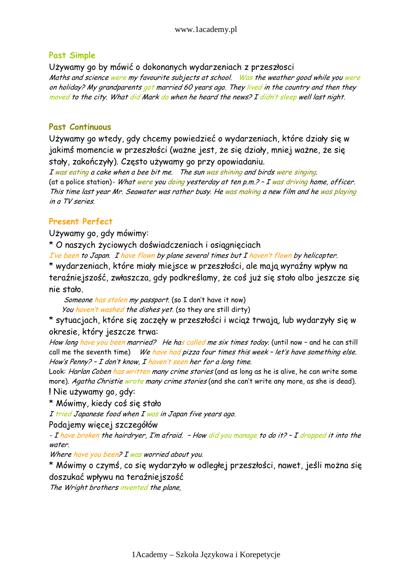#### Past Simple

Używamy go by mówić o dokonanych wydarzeniach z przeszłosci

Maths and science were my favourite subjects at school. Was the weather good while you were on holiday? My grandparents got married 60 years ago. They lived in the country and then they moved to the city. What did Mark do when he heard the news? I didn't sleep well last night.

#### Past Continuous

Używamy go wtedy, gdy chcemy powiedzieć o wydarzeniach, które działy się w jakimś momencie w przeszłości (ważne jest, że się działy, mniej ważne, że się stały, zakończyły). Często używamy go przy opowiadaniu.

I was eating a cake when a bee bit me. The sun was shining and birds were singing. (at a police station)- What were you doing yesterday at ten  $p.m.$   $\geq$  - I was driving home, officer. This time last year Mr. Seawater was rather busy. He was making a new film and he was playing in a TV series.

### Present Perfect

Używamy go, gdy mówimy:

\* O naszych życiowych doświadczeniach i osiągnięciach

I've been to Japan. I have flown by plane several times but I haven't flown by helicopter.

\* wydarzeniach, które miały miejsce w przeszłości, ale mają wyraźny wpływ na teraźniejszość, zwłaszcza, gdy podkreślamy, że coś już się stało albo jeszcze się nie stało.

Someone has stolen my passport. (so I don't have it now)

You haven't washed the dishes yet. (so they are still dirty)

\* sytuacjach, które się zaczęły w przeszłości i wciąż trwają, lub wydarzyły się w okresie, który jeszcze trwa:

How long have you been married? He has called me six times today. (until now - and he can still call me the seventh time) We have had pizza four times this week - let's have something else. How's Penny? – I don't know, I haven't seen her for a long time.

Look: *Harlan Coben has written many crime stories* (and as long as he is alive, he can write some more). Agatha Christie wrote many crime stories (and she can't write any more, as she is dead). ! Nie używamy go, gdy:

\* Mówimy, kiedy coś się stało

I tried Japanese food when I was in Japan five years ago.

Podajemy więcej szczegółów

- I have broken the hairdryer, I'm afraid. - How did you manage to do it? - I dropped it into the water.

Where have you been? I was worried about you.

\* Mówimy o czymś, co się wydarzyło w odległej przeszłości, nawet, jeśli można się doszukać wpływu na teraźniejszość

The Wright brothers invented the plane,